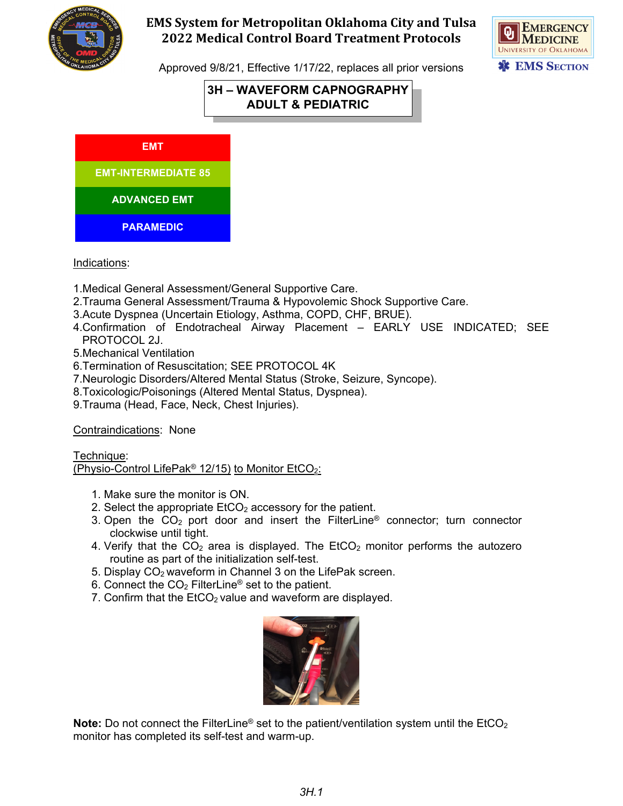



Approved 9/8/21, Effective 1/17/22, replaces all prior versions

# **3H – WAVEFORM CAPNOGRAPHY ADULT & PEDIATRIC**

**EMT**

**EMT-INTERMEDIATE 85**

**G C C** 

**ADVANCED EMT**

**PARAMEDIC**

Indications:

- 1.Medical General Assessment/General Supportive Care.
- 2.Trauma General Assessment/Trauma & Hypovolemic Shock Supportive Care.
- 3.Acute Dyspnea (Uncertain Etiology, Asthma, COPD, CHF, BRUE).
- 4.Confirmation of Endotracheal Airway Placement EARLY USE INDICATED; SEE PROTOCOL 2J.
- 5.Mechanical Ventilation
- 6.Termination of Resuscitation; SEE PROTOCOL 4K
- 7.Neurologic Disorders/Altered Mental Status (Stroke, Seizure, Syncope).
- 8.Toxicologic/Poisonings (Altered Mental Status, Dyspnea).
- 9.Trauma (Head, Face, Neck, Chest Injuries).

Contraindications: None

Technique:

(Physio-Control LifePak<sup>®</sup> 12/15) to Monitor EtCO<sub>2</sub>:

- 1. Make sure the monitor is ON.
- 2. Select the appropriate  $ECO<sub>2</sub>$  accessory for the patient.
- 3. Open the  $CO<sub>2</sub>$  port door and insert the FilterLine<sup>®</sup> connector; turn connector clockwise until tight.
- 4. Verify that the  $CO<sub>2</sub>$  area is displayed. The EtCO<sub>2</sub> monitor performs the autozero routine as part of the initialization self-test.
- 5. Display CO2 waveform in Channel 3 on the LifePak screen.
- 6. Connect the  $CO<sub>2</sub>$  FilterLine<sup>®</sup> set to the patient.
- 7. Confirm that the  $ECO<sub>2</sub>$  value and waveform are displayed.



**Note:** Do not connect the FilterLine<sup>®</sup> set to the patient/ventilation system until the EtCO<sub>2</sub> monitor has completed its self-test and warm-up.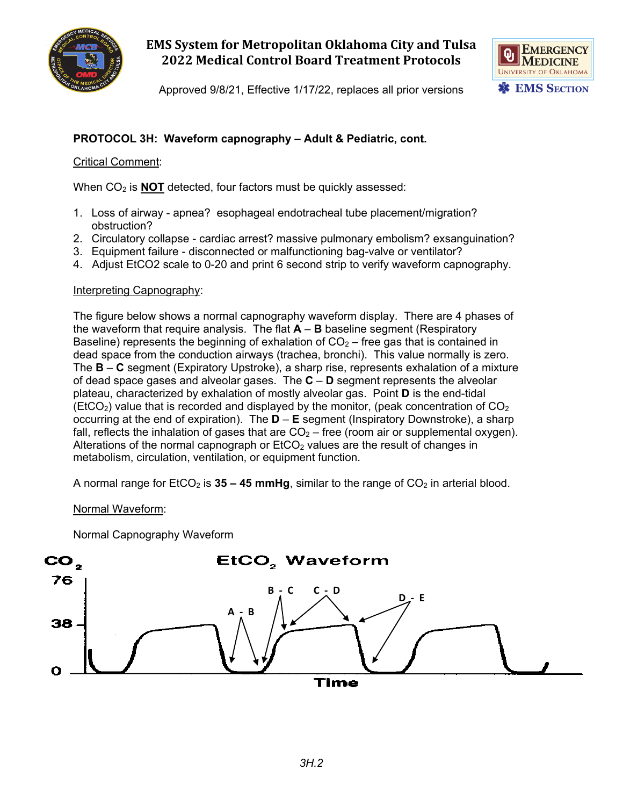



Approved 9/8/21, Effective 1/17/22, replaces all prior versions

## **PROTOCOL 3H: Waveform capnography – Adult & Pediatric, cont.**

Critical Comment:

When CO<sub>2</sub> is **NOT** detected, four factors must be quickly assessed:

- 1. Loss of airway apnea? esophageal endotracheal tube placement/migration? obstruction?
- 2. Circulatory collapse cardiac arrest? massive pulmonary embolism? exsanguination?
- 3. Equipment failure disconnected or malfunctioning bag-valve or ventilator?
- 4. Adjust EtCO2 scale to 0-20 and print 6 second strip to verify waveform capnography.

### Interpreting Capnography:

The figure below shows a normal capnography waveform display. There are 4 phases of the waveform that require analysis. The flat **A** – **B** baseline segment (Respiratory Baseline) represents the beginning of exhalation of  $CO<sub>2</sub>$  – free gas that is contained in dead space from the conduction airways (trachea, bronchi). This value normally is zero. The **B** – **C** segment (Expiratory Upstroke), a sharp rise, represents exhalation of a mixture of dead space gases and alveolar gases. The **C** – **D** segment represents the alveolar plateau, characterized by exhalation of mostly alveolar gas. Point **D** is the end-tidal (EtCO<sub>2</sub>) value that is recorded and displayed by the monitor, (peak concentration of  $CO<sub>2</sub>$ occurring at the end of expiration). The **D** – **E** segment (Inspiratory Downstroke), a sharp fall, reflects the inhalation of gases that are  $CO<sub>2</sub> -$  free (room air or supplemental oxygen). Alterations of the normal capnograph or  $ECO<sub>2</sub>$  values are the result of changes in metabolism, circulation, ventilation, or equipment function.

A normal range for EtCO<sub>2</sub> is **35 – 45 mmHg**, similar to the range of CO<sub>2</sub> in arterial blood.

Normal Waveform:

Normal Capnography Waveform

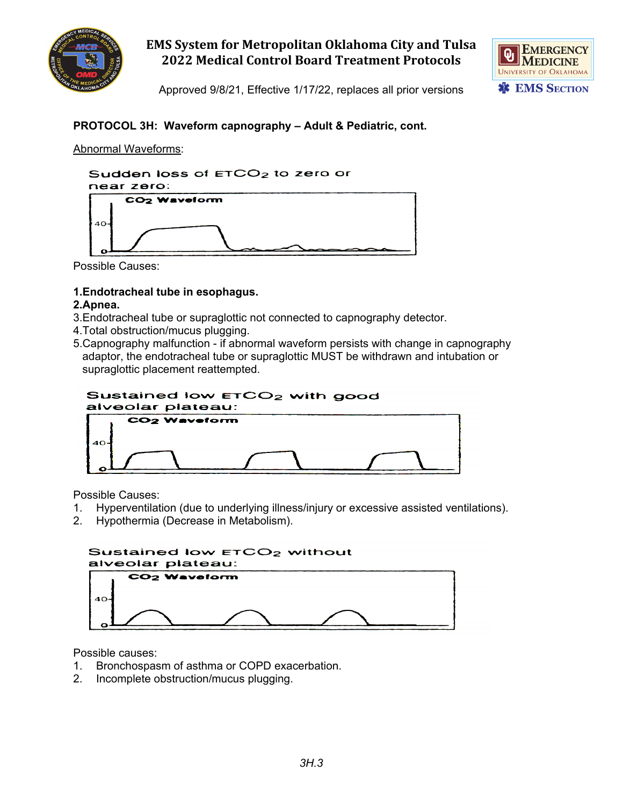



Approved 9/8/21, Effective 1/17/22, replaces all prior versions

## **PROTOCOL 3H: Waveform capnography – Adult & Pediatric, cont.**

### Abnormal Waveforms:



Possible Causes:

### **1.Endotracheal tube in esophagus.**

### **2.Apnea.**

- 3.Endotracheal tube or supraglottic not connected to capnography detector.
- 4.Total obstruction/mucus plugging.
- 5.Capnography malfunction if abnormal waveform persists with change in capnography adaptor, the endotracheal tube or supraglottic MUST be withdrawn and intubation or supraglottic placement reattempted.

#### Sustained low ETCO<sub>2</sub> with good alveolar plateau:



Possible Causes:

- 1. Hyperventilation (due to underlying illness/injury or excessive assisted ventilations).
- 2. Hypothermia (Decrease in Metabolism).



Possible causes:

- 1. Bronchospasm of asthma or COPD exacerbation.
- 2. Incomplete obstruction/mucus plugging.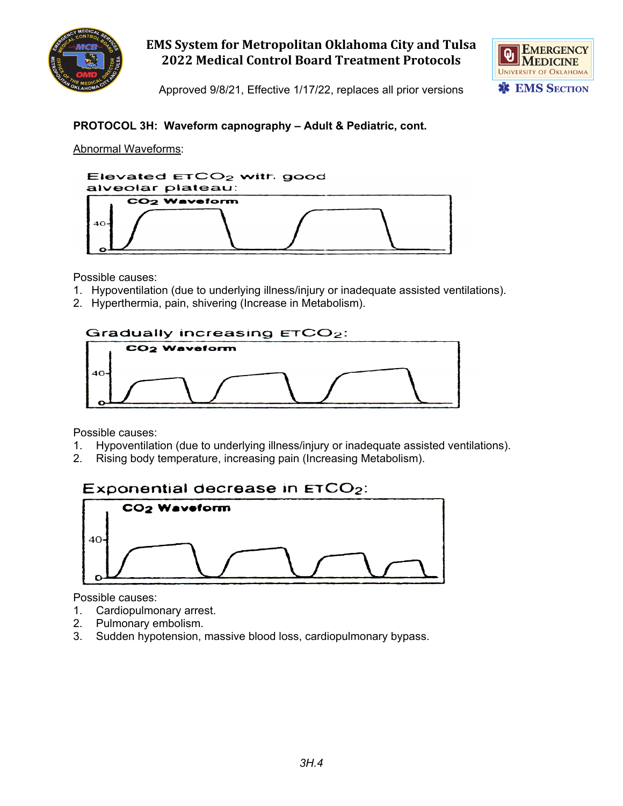



Approved 9/8/21, Effective 1/17/22, replaces all prior versions

## **PROTOCOL 3H: Waveform capnography – Adult & Pediatric, cont.**

### Abnormal Waveforms:



Possible causes:

- 1. Hypoventilation (due to underlying illness/injury or inadequate assisted ventilations).
- 2. Hyperthermia, pain, shivering (Increase in Metabolism).



Possible causes:

- 1. Hypoventilation (due to underlying illness/injury or inadequate assisted ventilations).
- 2. Rising body temperature, increasing pain (Increasing Metabolism).

# Exponential decrease in  $ETCO<sub>2</sub>$ :



Possible causes:

- 1. Cardiopulmonary arrest.
- 2. Pulmonary embolism.
- 3. Sudden hypotension, massive blood loss, cardiopulmonary bypass.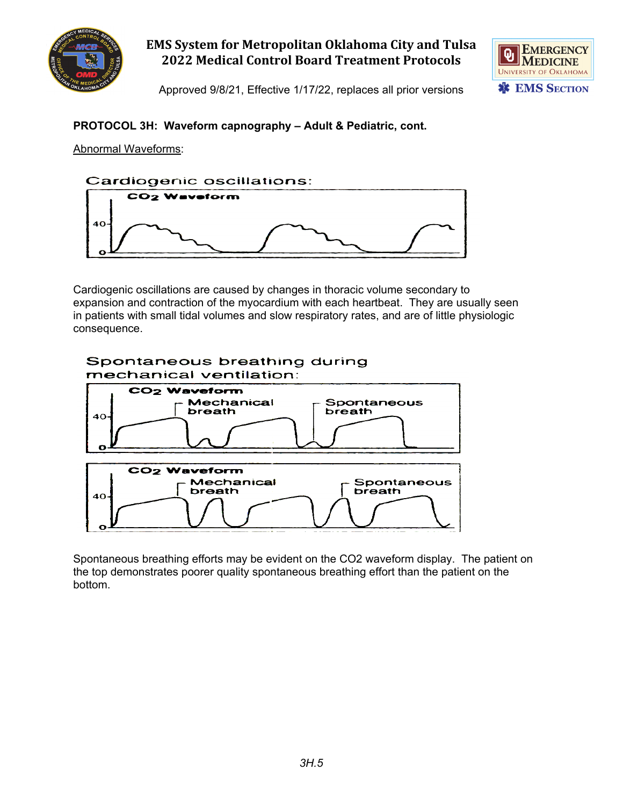



Approved 9/8/21, Effective 1/17/22, replaces all prior versions

## **PROTOCOL 3H: Waveform capnography – Adult & Pediatric, cont.**

Abnormal Waveforms:



Cardiogenic oscillations are caused by changes in thoracic volume secondary to expansion and contraction of the myocardium with each heartbeat. They are usually seen in patients with small tidal volumes and slow respiratory rates, and are of little physiologic consequence.



Spontaneous breathing efforts may be evident on the CO2 waveform display. The patient on the top demonstrates poorer quality spontaneous breathing effort than the patient on the bottom.